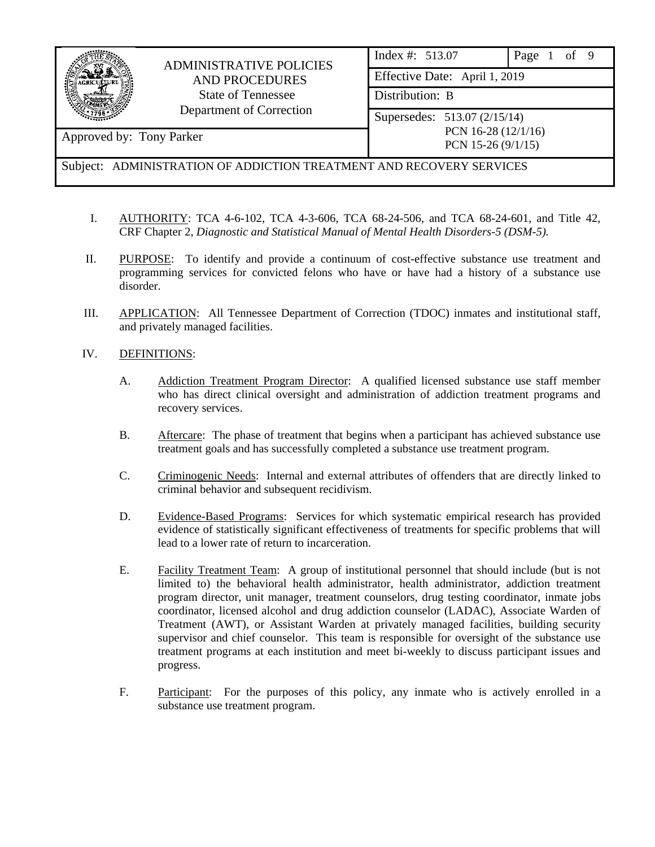|                                                                      | <b>ADMINISTRATIVE POLICIES</b><br><b>AND PROCEDURES</b><br><b>State of Tennessee</b><br>Department of Correction | Index #: 513.07<br>of 9<br>Page             |  |  |  |  |
|----------------------------------------------------------------------|------------------------------------------------------------------------------------------------------------------|---------------------------------------------|--|--|--|--|
|                                                                      |                                                                                                                  | Effective Date: April 1, 2019               |  |  |  |  |
|                                                                      |                                                                                                                  | Distribution: B                             |  |  |  |  |
|                                                                      |                                                                                                                  | Supersedes: 513.07 (2/15/14)                |  |  |  |  |
| Approved by: Tony Parker                                             |                                                                                                                  | PCN 16-28 (12/1/16)<br>PCN 15-26 $(9/1/15)$ |  |  |  |  |
| Subject: ADMINISTRATION OF ADDICTION TREATMENT AND RECOVERY SERVICES |                                                                                                                  |                                             |  |  |  |  |

- I. AUTHORITY: TCA 4-6-102, TCA 4-3-606, TCA 68-24-506, and TCA 68-24-601, and Title 42, CRF Chapter 2, *Diagnostic and Statistical Manual of Mental Health Disorders-5 (DSM-5).*
- II. PURPOSE: To identify and provide a continuum of cost-effective substance use treatment and programming services for convicted felons who have or have had a history of a substance use disorder.
- III. APPLICATION: All Tennessee Department of Correction (TDOC) inmates and institutional staff, and privately managed facilities.

## IV. DEFINITIONS:

- A. Addiction Treatment Program Director: A qualified licensed substance use staff member who has direct clinical oversight and administration of addiction treatment programs and recovery services.
- B. Aftercare: The phase of treatment that begins when a participant has achieved substance use treatment goals and has successfully completed a substance use treatment program.
- C. Criminogenic Needs: Internal and external attributes of offenders that are directly linked to criminal behavior and subsequent recidivism.
- D. Evidence-Based Programs: Services for which systematic empirical research has provided evidence of statistically significant effectiveness of treatments for specific problems that will lead to a lower rate of return to incarceration.
- E. Facility Treatment Team: A group of institutional personnel that should include (but is not limited to) the behavioral health administrator, health administrator, addiction treatment program director, unit manager, treatment counselors, drug testing coordinator, inmate jobs coordinator, licensed alcohol and drug addiction counselor (LADAC), Associate Warden of Treatment (AWT), or Assistant Warden at privately managed facilities, building security supervisor and chief counselor. This team is responsible for oversight of the substance use treatment programs at each institution and meet bi-weekly to discuss participant issues and progress.
- F. Participant: For the purposes of this policy, any inmate who is actively enrolled in a substance use treatment program.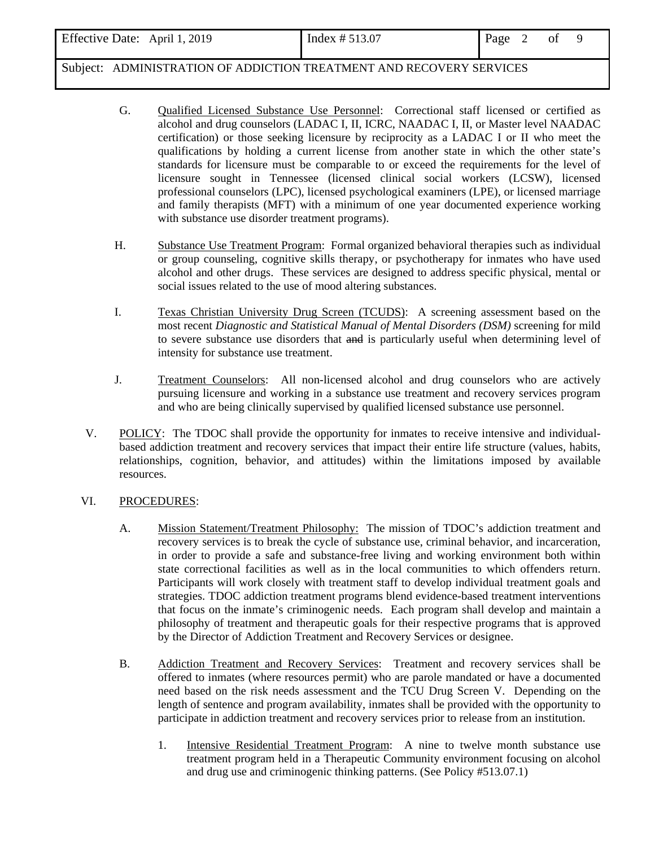| Effective Date: April 1, 2019                                        | Index $# 513.07$ | Page | ΟÌ |  |
|----------------------------------------------------------------------|------------------|------|----|--|
| Subject: ADMINISTRATION OF ADDICTION TREATMENT AND RECOVERY SERVICES |                  |      |    |  |

- G. Qualified Licensed Substance Use Personnel: Correctional staff licensed or certified as alcohol and drug counselors (LADAC I, II, ICRC, NAADAC I, II, or Master level NAADAC certification) or those seeking licensure by reciprocity as a LADAC I or II who meet the qualifications by holding a current license from another state in which the other state's standards for licensure must be comparable to or exceed the requirements for the level of licensure sought in Tennessee (licensed clinical social workers (LCSW), licensed professional counselors (LPC), licensed psychological examiners (LPE), or licensed marriage and family therapists (MFT) with a minimum of one year documented experience working with substance use disorder treatment programs).
- H. Substance Use Treatment Program: Formal organized behavioral therapies such as individual or group counseling, cognitive skills therapy, or psychotherapy for inmates who have used alcohol and other drugs. These services are designed to address specific physical, mental or social issues related to the use of mood altering substances.
- I. Texas Christian University Drug Screen (TCUDS): A screening assessment based on the most recent *Diagnostic and Statistical Manual of Mental Disorders (DSM)* screening for mild to severe substance use disorders that and is particularly useful when determining level of intensity for substance use treatment.
- J. Treatment Counselors: All non-licensed alcohol and drug counselors who are actively pursuing licensure and working in a substance use treatment and recovery services program and who are being clinically supervised by qualified licensed substance use personnel.
- V. POLICY: The TDOC shall provide the opportunity for inmates to receive intensive and individualbased addiction treatment and recovery services that impact their entire life structure (values, habits, relationships, cognition, behavior, and attitudes) within the limitations imposed by available resources.
- VI. PROCEDURES:
	- A. Mission Statement/Treatment Philosophy: The mission of TDOC's addiction treatment and recovery services is to break the cycle of substance use, criminal behavior, and incarceration, in order to provide a safe and substance-free living and working environment both within state correctional facilities as well as in the local communities to which offenders return. Participants will work closely with treatment staff to develop individual treatment goals and strategies. TDOC addiction treatment programs blend evidence-based treatment interventions that focus on the inmate's criminogenic needs. Each program shall develop and maintain a philosophy of treatment and therapeutic goals for their respective programs that is approved by the Director of Addiction Treatment and Recovery Services or designee.
	- B. Addiction Treatment and Recovery Services: Treatment and recovery services shall be offered to inmates (where resources permit) who are parole mandated or have a documented need based on the risk needs assessment and the TCU Drug Screen V. Depending on the length of sentence and program availability, inmates shall be provided with the opportunity to participate in addiction treatment and recovery services prior to release from an institution.
		- 1. Intensive Residential Treatment Program: A nine to twelve month substance use treatment program held in a Therapeutic Community environment focusing on alcohol and drug use and criminogenic thinking patterns. (See Policy #513.07.1)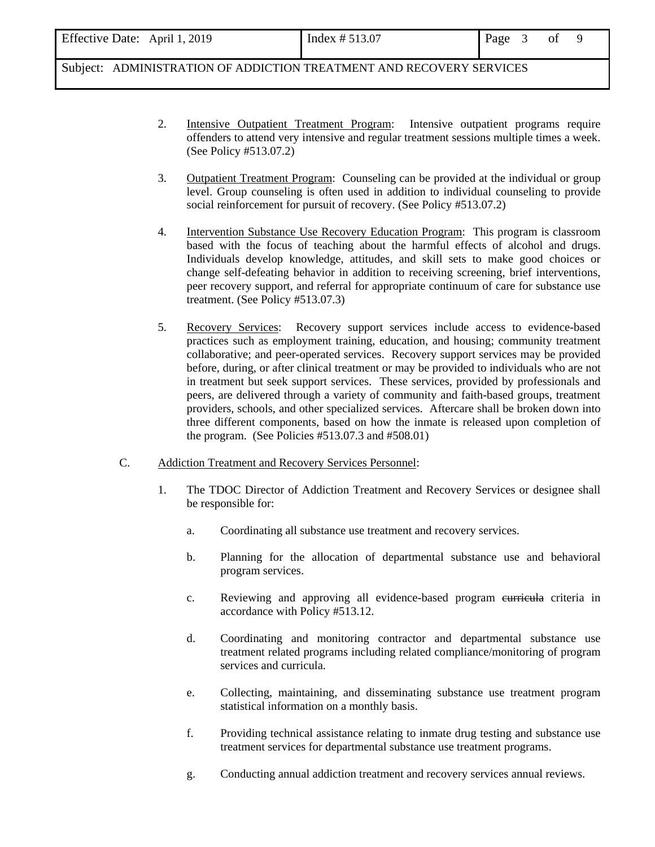| Effective Date: April 1, 2019                                        | Index $\# 513.07$ | Page 3 | 0t |  |
|----------------------------------------------------------------------|-------------------|--------|----|--|
| Subject: ADMINISTRATION OF ADDICTION TREATMENT AND RECOVERY SERVICES |                   |        |    |  |

- 2. Intensive Outpatient Treatment Program: Intensive outpatient programs require offenders to attend very intensive and regular treatment sessions multiple times a week. (See Policy #513.07.2)
- 3. Outpatient Treatment Program: Counseling can be provided at the individual or group level. Group counseling is often used in addition to individual counseling to provide social reinforcement for pursuit of recovery. (See Policy #513.07.2)
- 4. Intervention Substance Use Recovery Education Program: This program is classroom based with the focus of teaching about the harmful effects of alcohol and drugs. Individuals develop knowledge, attitudes, and skill sets to make good choices or change self-defeating behavior in addition to receiving screening, brief interventions, peer recovery support, and referral for appropriate continuum of care for substance use treatment. (See Policy #513.07.3)
- 5. Recovery Services: Recovery support services include access to evidence-based practices such as employment training, education, and housing; community treatment collaborative; and peer-operated services. Recovery support services may be provided before, during, or after clinical treatment or may be provided to individuals who are not in treatment but seek support services. These services, provided by professionals and peers, are delivered through a variety of community and faith-based groups, treatment providers, schools, and other specialized services. Aftercare shall be broken down into three different components, based on how the inmate is released upon completion of the program. (See Policies #513.07.3 and #508.01)
- C.Addiction Treatment and Recovery Services Personnel:
	- 1. The TDOC Director of Addiction Treatment and Recovery Services or designee shall be responsible for:
		- a. Coordinating all substance use treatment and recovery services.
		- b. Planning for the allocation of departmental substance use and behavioral program services.
		- c. Reviewing and approving all evidence-based program curricula criteria in accordance with Policy #513.12.
		- d. Coordinating and monitoring contractor and departmental substance use treatment related programs including related compliance/monitoring of program services and curricula.
		- e. Collecting, maintaining, and disseminating substance use treatment program statistical information on a monthly basis.
		- f. Providing technical assistance relating to inmate drug testing and substance use treatment services for departmental substance use treatment programs.
		- g. Conducting annual addiction treatment and recovery services annual reviews.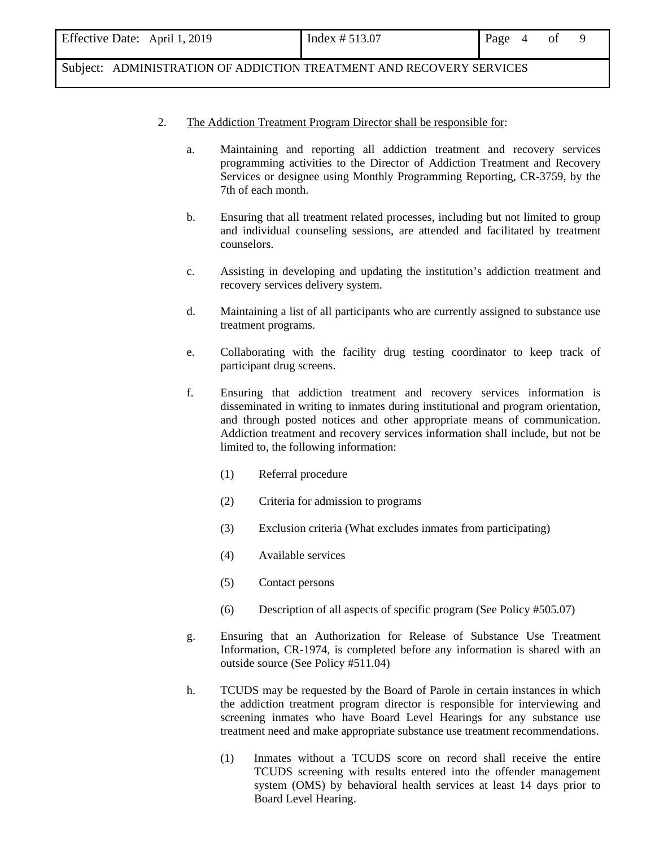| Effective Date: April 1, 2019 | Index # 513.07 | Page 4 of |  |  |
|-------------------------------|----------------|-----------|--|--|
|                               |                |           |  |  |

Subject: ADMINISTRATION OF ADDICTION TREATMENT AND RECOVERY SERVICES

## 2. The Addiction Treatment Program Director shall be responsible for:

- a. Maintaining and reporting all addiction treatment and recovery services programming activities to the Director of Addiction Treatment and Recovery Services or designee using Monthly Programming Reporting, CR-3759, by the 7th of each month.
- b. Ensuring that all treatment related processes, including but not limited to group and individual counseling sessions, are attended and facilitated by treatment counselors.
- c. Assisting in developing and updating the institution's addiction treatment and recovery services delivery system.
- d. Maintaining a list of all participants who are currently assigned to substance use treatment programs.
- e. Collaborating with the facility drug testing coordinator to keep track of participant drug screens.
- f. Ensuring that addiction treatment and recovery services information is disseminated in writing to inmates during institutional and program orientation, and through posted notices and other appropriate means of communication. Addiction treatment and recovery services information shall include, but not be limited to, the following information:
	- (1) Referral procedure
	- (2) Criteria for admission to programs
	- (3) Exclusion criteria (What excludes inmates from participating)
	- (4) Available services
	- (5) Contact persons
	- (6) Description of all aspects of specific program (See Policy #505.07)
- g. Ensuring that an Authorization for Release of Substance Use Treatment Information, CR-1974, is completed before any information is shared with an outside source (See Policy #511.04)
- h. TCUDS may be requested by the Board of Parole in certain instances in which the addiction treatment program director is responsible for interviewing and screening inmates who have Board Level Hearings for any substance use treatment need and make appropriate substance use treatment recommendations.
	- (1) Inmates without a TCUDS score on record shall receive the entire TCUDS screening with results entered into the offender management system (OMS) by behavioral health services at least 14 days prior to Board Level Hearing.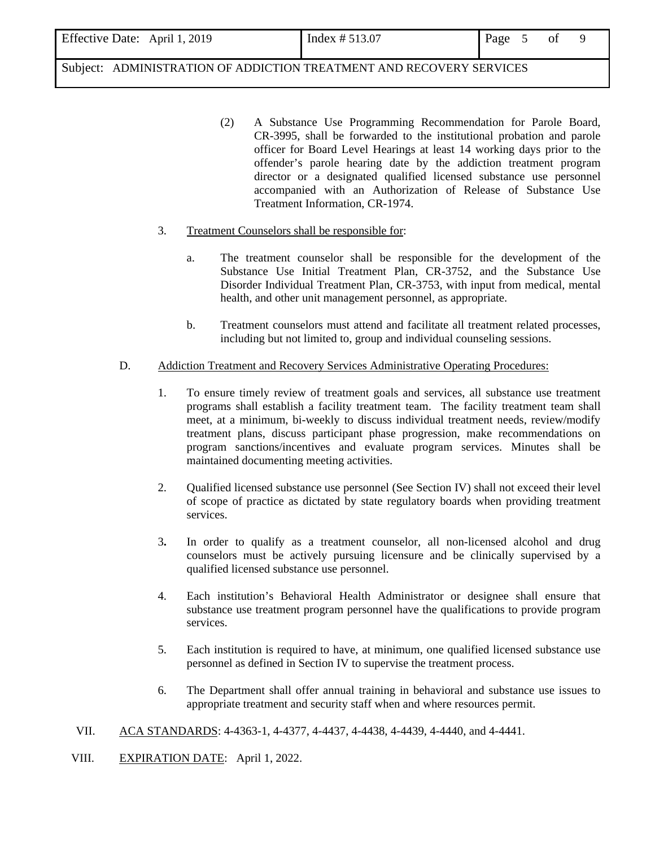| Effective Date: April 1, 2019 |  |
|-------------------------------|--|
|-------------------------------|--|

Subject: ADMINISTRATION OF ADDICTION TREATMENT AND RECOVERY SERVICES

- (2) A Substance Use Programming Recommendation for Parole Board, CR-3995, shall be forwarded to the institutional probation and parole officer for Board Level Hearings at least 14 working days prior to the offender's parole hearing date by the addiction treatment program director or a designated qualified licensed substance use personnel accompanied with an Authorization of Release of Substance Use Treatment Information, CR-1974.
- 3. Treatment Counselors shall be responsible for:
	- a. The treatment counselor shall be responsible for the development of the Substance Use Initial Treatment Plan, CR-3752, and the Substance Use Disorder Individual Treatment Plan, CR-3753, with input from medical, mental health, and other unit management personnel, as appropriate.
	- b. Treatment counselors must attend and facilitate all treatment related processes, including but not limited to, group and individual counseling sessions.
- D.Addiction Treatment and Recovery Services Administrative Operating Procedures:
	- 1. To ensure timely review of treatment goals and services, all substance use treatment programs shall establish a facility treatment team. The facility treatment team shall meet, at a minimum, bi-weekly to discuss individual treatment needs, review/modify treatment plans, discuss participant phase progression, make recommendations on program sanctions/incentives and evaluate program services. Minutes shall be maintained documenting meeting activities.
	- 2. Qualified licensed substance use personnel (See Section IV) shall not exceed their level of scope of practice as dictated by state regulatory boards when providing treatment services.
	- 3**.** In order to qualify as a treatment counselor, all non-licensed alcohol and drug counselors must be actively pursuing licensure and be clinically supervised by a qualified licensed substance use personnel.
	- 4. Each institution's Behavioral Health Administrator or designee shall ensure that substance use treatment program personnel have the qualifications to provide program services.
	- 5. Each institution is required to have, at minimum, one qualified licensed substance use personnel as defined in Section IV to supervise the treatment process.
	- 6. The Department shall offer annual training in behavioral and substance use issues to appropriate treatment and security staff when and where resources permit.
- VII. ACA STANDARDS: 4-4363-1, 4-4377, 4-4437, 4-4438, 4-4439, 4-4440, and 4-4441.
- VIII. EXPIRATION DATE: April 1, 2022.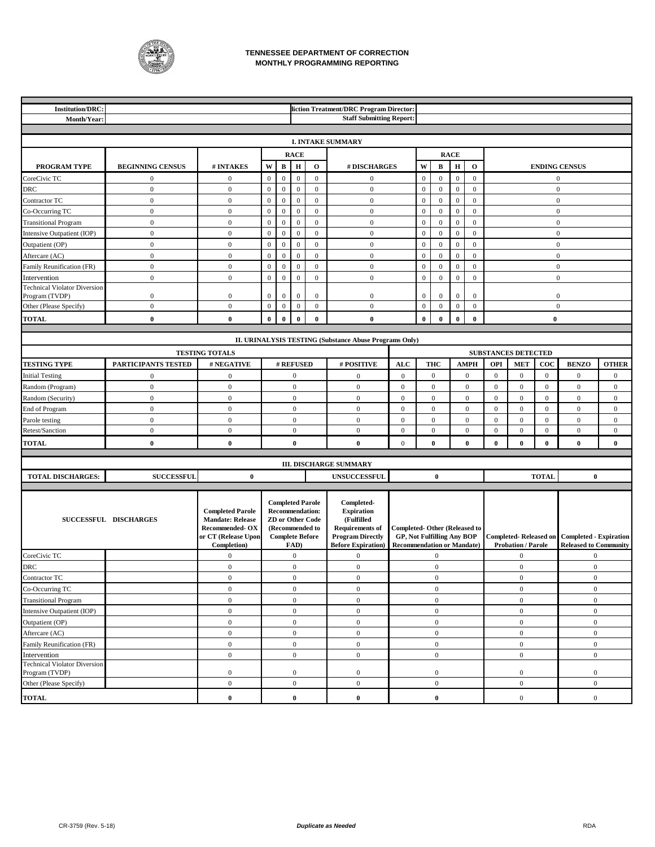

#### **TENNESSEE DEPARTMENT OF CORRECTION MONTHLY PROGRAMMING REPORTING**

| <b>Institution/DRC:</b>                             |                                      |                                                                                                            |                                  |                              |                                  |                                                                                                                           | liction Treatment/DRC Program Director:                                                                                          |                                                                                                               |                                  |                              |                                  |                              |                  |                            |                  |                                                                                     |                |
|-----------------------------------------------------|--------------------------------------|------------------------------------------------------------------------------------------------------------|----------------------------------|------------------------------|----------------------------------|---------------------------------------------------------------------------------------------------------------------------|----------------------------------------------------------------------------------------------------------------------------------|---------------------------------------------------------------------------------------------------------------|----------------------------------|------------------------------|----------------------------------|------------------------------|------------------|----------------------------|------------------|-------------------------------------------------------------------------------------|----------------|
| Month/Year:                                         |                                      |                                                                                                            |                                  |                              |                                  |                                                                                                                           | <b>Staff Submitting Report:</b>                                                                                                  |                                                                                                               |                                  |                              |                                  |                              |                  |                            |                  |                                                                                     |                |
|                                                     |                                      |                                                                                                            |                                  |                              |                                  |                                                                                                                           |                                                                                                                                  |                                                                                                               |                                  |                              |                                  |                              |                  |                            |                  |                                                                                     |                |
|                                                     |                                      |                                                                                                            |                                  |                              |                                  |                                                                                                                           | <b>I. INTAKE SUMMARY</b>                                                                                                         |                                                                                                               |                                  |                              |                                  |                              |                  |                            |                  |                                                                                     |                |
|                                                     |                                      |                                                                                                            |                                  |                              | <b>RACE</b>                      |                                                                                                                           |                                                                                                                                  |                                                                                                               |                                  |                              | <b>RACE</b>                      |                              |                  |                            |                  |                                                                                     |                |
| PROGRAM TYPE                                        | <b>BEGINNING CENSUS</b>              | # INTAKES                                                                                                  | $\mathbf W$                      | $\, {\bf B}$                 | $\bf H$                          | $\mathbf{o}$                                                                                                              | # DISCHARGES                                                                                                                     |                                                                                                               | $\mathbf{W}$                     | B                            | $\, {\bf H}$                     | $\mathbf{o}$                 |                  |                            |                  | <b>ENDING CENSUS</b>                                                                |                |
| CoreCivic TC                                        | $\mathbf{0}$                         | $\mathbf{0}$                                                                                               | $\mathbf{0}$                     | $\mathbf{0}$                 | $\boldsymbol{0}$                 | $\mathbf{0}$                                                                                                              | $\boldsymbol{0}$                                                                                                                 |                                                                                                               | $\mathbf{0}$                     | $\mathbf{0}$                 | $\mathbf{0}$                     | $\overline{0}$               |                  |                            |                  | $\mathbf{0}$                                                                        |                |
| DRC                                                 | $\boldsymbol{0}$                     | $\mathbf{0}$                                                                                               | $\boldsymbol{0}$                 | $\boldsymbol{0}$             | $\boldsymbol{0}$                 | $\boldsymbol{0}$                                                                                                          | $\boldsymbol{0}$                                                                                                                 |                                                                                                               | $\boldsymbol{0}$                 | $\boldsymbol{0}$             | $\mathbf{0}$                     | $\mathbf{0}$                 | $\mathbf{0}$     |                            |                  |                                                                                     |                |
| Contractor TC                                       | $\boldsymbol{0}$                     | $\mathbf{0}$                                                                                               | $\mathbf{0}$                     | $\,0\,$                      | $\overline{0}$                   | $\mathbf{0}$                                                                                                              | $\mathbf{0}$                                                                                                                     |                                                                                                               | $\boldsymbol{0}$                 | $\mathbf{0}$                 | $\mathbf{0}$                     | $\boldsymbol{0}$             |                  |                            |                  | $\mathbf{0}$                                                                        |                |
| Co-Occurring TC                                     | $\boldsymbol{0}$                     | $\mathbf{0}$                                                                                               | $\mathbf{0}$                     | $\boldsymbol{0}$             | $\boldsymbol{0}$                 | $\mathbf{0}$                                                                                                              | $\boldsymbol{0}$                                                                                                                 |                                                                                                               | $\boldsymbol{0}$                 | $\boldsymbol{0}$             | $\mathbf{0}$                     | $\overline{0}$               |                  |                            |                  | $\mathbf{0}$                                                                        |                |
| <b>Transitional Program</b>                         | $\boldsymbol{0}$                     | $\boldsymbol{0}$                                                                                           | $\mathbf{0}$                     | $\mathbf{0}$                 | $\boldsymbol{0}$                 | $\mathbf{0}$                                                                                                              | $\mathbf{0}$                                                                                                                     |                                                                                                               | $\mathbf{0}$                     | $\mathbf{0}$                 | $\mathbf{0}$                     | $\mathbf{0}$                 |                  |                            |                  | $\boldsymbol{0}$                                                                    |                |
| Intensive Outpatient (IOP)                          | $\boldsymbol{0}$                     | $\mathbf{0}$                                                                                               | $\mathbf{0}$                     | $\mathbf{0}$                 | $\boldsymbol{0}$                 | $\mathbf{0}$                                                                                                              | $\mathbf{0}$                                                                                                                     |                                                                                                               | $\mathbf{0}$                     | $\mathbf{0}$<br>$\mathbf{0}$ | $\mathbf{0}$                     | $\mathbf{0}$<br>$\mathbf{0}$ |                  |                            |                  | $\mathbf{0}$                                                                        |                |
| Outpatient (OP)                                     | $\boldsymbol{0}$<br>$\boldsymbol{0}$ | $\boldsymbol{0}$<br>$\overline{0}$                                                                         | $\mathbf{0}$                     | $\mathbf{0}$<br>$\mathbf{0}$ | $\boldsymbol{0}$                 | $\mathbf{0}$<br>$\mathbf{0}$                                                                                              | $\boldsymbol{0}$<br>$\mathbf{0}$                                                                                                 |                                                                                                               | $\boldsymbol{0}$                 |                              | $\boldsymbol{0}$                 | $\mathbf{0}$                 |                  |                            |                  | $\mathbf{0}$                                                                        |                |
| Aftercare (AC)                                      | $\boldsymbol{0}$                     | $\mathbf{0}$                                                                                               | $\mathbf{0}$<br>$\boldsymbol{0}$ | $\mathbf{0}$                 | $\mathbf{0}$<br>$\boldsymbol{0}$ | $\mathbf{0}$                                                                                                              | $\mathbf{0}$                                                                                                                     |                                                                                                               | $\mathbf{0}$<br>$\boldsymbol{0}$ | $\mathbf{0}$<br>$\mathbf{0}$ | $\mathbf{0}$<br>$\boldsymbol{0}$ | $\mathbf{0}$                 |                  |                            |                  | $\mathbf{0}$<br>$\mathbf{0}$                                                        |                |
| Family Reunification (FR)                           | $\boldsymbol{0}$                     | $\mathbf{0}$                                                                                               | $\mathbf{0}$                     | $\mathbf{0}$                 | $\boldsymbol{0}$                 | $\mathbf{0}$                                                                                                              | $\mathbf{0}$                                                                                                                     |                                                                                                               | $\boldsymbol{0}$                 | $\mathbf{0}$                 | $\boldsymbol{0}$                 | $\boldsymbol{0}$             |                  |                            |                  | $\mathbf{0}$                                                                        |                |
| Intervention<br><b>Technical Violator Diversion</b> |                                      |                                                                                                            |                                  |                              |                                  |                                                                                                                           |                                                                                                                                  |                                                                                                               |                                  |                              |                                  |                              |                  |                            |                  |                                                                                     |                |
| Program (TVDP)                                      | $\boldsymbol{0}$                     | $\mathbf{0}$                                                                                               | $\mathbf{0}$                     | $\mathbf{0}$                 | 0                                | $\boldsymbol{0}$                                                                                                          | $\boldsymbol{0}$                                                                                                                 |                                                                                                               | $\mathbf{0}$                     | $\mathbf{0}$                 | $\mathbf{0}$                     | $\mathbf{0}$                 |                  |                            |                  | $\mathbf{0}$                                                                        |                |
| Other (Please Specify)                              | $\boldsymbol{0}$                     | $\boldsymbol{0}$                                                                                           | $\boldsymbol{0}$                 | $\mathbf{0}$                 | $\boldsymbol{0}$                 | $\mathbf{0}$                                                                                                              | $\mathbf{0}$                                                                                                                     |                                                                                                               | $\boldsymbol{0}$                 | $\mathbf{0}$                 | $\mathbf{0}$                     | $\mathbf{0}$                 |                  |                            |                  | $\mathbf{0}$                                                                        |                |
| <b>TOTAL</b>                                        | $\bf{0}$                             | $\bf{0}$                                                                                                   | $\bf{0}$                         | $\bf{0}$                     | $\bf{0}$                         | $\bf{0}$                                                                                                                  | $\mathbf{0}$                                                                                                                     |                                                                                                               | $\bf{0}$                         | $\bf{0}$                     | $\bf{0}$                         | $\bf{0}$                     |                  |                            | $\bf{0}$         |                                                                                     |                |
|                                                     |                                      |                                                                                                            |                                  |                              |                                  |                                                                                                                           |                                                                                                                                  |                                                                                                               |                                  |                              |                                  |                              |                  |                            |                  |                                                                                     |                |
|                                                     |                                      |                                                                                                            |                                  |                              |                                  |                                                                                                                           | II. URINALYSIS TESTING (Substance Abuse Programs Only)                                                                           |                                                                                                               |                                  |                              |                                  |                              |                  |                            |                  |                                                                                     |                |
|                                                     |                                      | <b>TESTING TOTALS</b>                                                                                      |                                  |                              |                                  |                                                                                                                           |                                                                                                                                  |                                                                                                               |                                  |                              |                                  |                              |                  | <b>SUBSTANCES DETECTED</b> |                  |                                                                                     |                |
| <b>TESTING TYPE</b>                                 | PARTICIPANTS TESTED                  | # NEGATIVE                                                                                                 |                                  |                              | # REFUSED                        |                                                                                                                           | # POSITIVE                                                                                                                       | <b>ALC</b>                                                                                                    |                                  | <b>THC</b>                   |                                  | <b>AMPH</b>                  | OPI              | <b>MET</b>                 | $\bf{co}$        | <b>BENZO</b>                                                                        | <b>OTHER</b>   |
| <b>Initial Testing</b>                              | $\boldsymbol{0}$                     | $\mathbf{0}$                                                                                               |                                  |                              | $\mathbf{0}$                     |                                                                                                                           | $\mathbf{0}$                                                                                                                     | $\theta$                                                                                                      |                                  | $\mathbf{0}$                 |                                  | $\mathbf{0}$                 | $\mathbf{0}$     | $\mathbf{0}$               | $\mathbf{0}$     | $\mathbf{0}$                                                                        | $\mathbf{0}$   |
| Random (Program)                                    | $\boldsymbol{0}$                     | $\mathbf{0}$                                                                                               |                                  |                              | $\boldsymbol{0}$                 |                                                                                                                           | $\mathbf{0}$                                                                                                                     | $\overline{0}$                                                                                                |                                  | $\mathbf{0}$                 |                                  | $\mathbf{0}$                 | $\mathbf{0}$     | $\mathbf{0}$               | $\mathbf{0}$     | $\mathbf{0}$                                                                        | $\overline{0}$ |
| Random (Security)                                   | $\boldsymbol{0}$                     | $\mathbf{0}$                                                                                               |                                  |                              | $\boldsymbol{0}$                 |                                                                                                                           | $\boldsymbol{0}$                                                                                                                 | $\boldsymbol{0}$                                                                                              |                                  | $\mathbf{0}$                 |                                  | $\mathbf{0}$                 | $\mathbf{0}$     | $\mathbf{0}$               | $\mathbf{0}$     | $\mathbf{0}$                                                                        | $\mathbf{0}$   |
| End of Program                                      | $\boldsymbol{0}$                     | $\boldsymbol{0}$                                                                                           |                                  |                              | $\boldsymbol{0}$                 |                                                                                                                           | $\mathbf{0}$                                                                                                                     | $\mathbf{0}$                                                                                                  |                                  | $\mathbf{0}$                 |                                  | $\mathbf{0}$                 | $\mathbf{0}$     | $\mathbf{0}$               | $\boldsymbol{0}$ | $\mathbf{0}$                                                                        | $\mathbf{0}$   |
| Parole testing                                      | $\boldsymbol{0}$                     | $\boldsymbol{0}$                                                                                           |                                  |                              | $\mathbf{0}$                     |                                                                                                                           | $\boldsymbol{0}$                                                                                                                 | $\mathbf{0}$                                                                                                  |                                  | $\mathbf{0}$                 |                                  | $\mathbf{0}$                 | $\mathbf{0}$     | $\theta$                   | $\mathbf{0}$     | $\mathbf{0}$                                                                        | $\mathbf{0}$   |
| Retest/Sanction                                     | $\boldsymbol{0}$                     | $\mathbf{0}$                                                                                               |                                  |                              | $\mathbf{0}$                     |                                                                                                                           | $\boldsymbol{0}$                                                                                                                 | $\overline{0}$                                                                                                |                                  | $\mathbf{0}$                 |                                  | $\mathbf{0}$                 | $\boldsymbol{0}$ | $\mathbf{0}$               | $\mathbf{0}$     | $\mathbf{0}$                                                                        | $\mathbf{0}$   |
| <b>TOTAL</b>                                        | $\bf{0}$                             | $\mathbf 0$                                                                                                |                                  |                              | $\bf{0}$                         |                                                                                                                           | $\bf{0}$                                                                                                                         | $\overline{0}$                                                                                                |                                  | $\bf{0}$                     |                                  | $\bf{0}$                     | $\bf{0}$         | $\mathbf{0}$               | $\bf{0}$         | $\bf{0}$                                                                            | $\bf{0}$       |
|                                                     |                                      |                                                                                                            |                                  |                              |                                  |                                                                                                                           | <b>III. DISCHARGE SUMMARY</b>                                                                                                    |                                                                                                               |                                  |                              |                                  |                              |                  |                            |                  |                                                                                     |                |
| <b>TOTAL DISCHARGES:</b>                            | <b>SUCCESSFUL</b>                    | $\bf{0}$                                                                                                   |                                  |                              |                                  |                                                                                                                           | <b>UNSUCCESSFUL</b>                                                                                                              |                                                                                                               |                                  | $\bf{0}$                     |                                  |                              |                  |                            | <b>TOTAL</b>     | $\bf{0}$                                                                            |                |
|                                                     |                                      |                                                                                                            |                                  |                              |                                  |                                                                                                                           |                                                                                                                                  |                                                                                                               |                                  |                              |                                  |                              |                  |                            |                  |                                                                                     |                |
|                                                     | SUCCESSFUL DISCHARGES                | <b>Completed Parole</b><br><b>Mandate: Release</b><br>Recommended-OX<br>or CT (Release Upon<br>Completion) |                                  |                              | FAD)                             | <b>Completed Parole</b><br><b>Recommendation:</b><br><b>ZD</b> or Other Code<br>(Recommended to<br><b>Complete Before</b> | Completed-<br><b>Expiration</b><br>(Fulfilled<br><b>Requirements of</b><br><b>Program Directly</b><br><b>Before Expiration</b> ) | <b>Completed-Other (Released to</b><br><b>GP, Not Fulfilling Any BOP</b><br><b>Recommendation or Mandate)</b> |                                  |                              |                                  |                              |                  | <b>Probation / Parole</b>  |                  | <b>Completed-Released on Completed - Expiration</b><br><b>Released to Community</b> |                |
| CoreCivic TC                                        |                                      | $\mathbf{0}$                                                                                               |                                  |                              | $\mathbf{0}$                     |                                                                                                                           | $\overline{0}$                                                                                                                   |                                                                                                               |                                  | $\mathbf{0}$                 |                                  |                              |                  | $\overline{0}$             |                  | $\overline{0}$                                                                      |                |
| DRC                                                 |                                      | $\boldsymbol{0}$                                                                                           |                                  |                              | $\mathbf{0}$                     |                                                                                                                           | $\overline{0}$                                                                                                                   |                                                                                                               |                                  | $\mathbf{0}$                 |                                  |                              |                  | $\mathbf{0}$               |                  | $\mathbf{0}$                                                                        |                |
| Contractor TC                                       |                                      | $\boldsymbol{0}$                                                                                           |                                  |                              | $\boldsymbol{0}$                 |                                                                                                                           | $\boldsymbol{0}$                                                                                                                 |                                                                                                               |                                  | $\boldsymbol{0}$             |                                  |                              |                  | $\mathbf{0}$               |                  | $\mathbf{0}$                                                                        |                |
| Co-Occurring TC                                     |                                      | $\mathbf{0}$                                                                                               | $\boldsymbol{0}$                 |                              | $\overline{0}$                   |                                                                                                                           |                                                                                                                                  | $\mathbf{0}$                                                                                                  |                                  |                              |                                  | $\mathbf{0}$                 |                  | $\overline{0}$             |                  |                                                                                     |                |
| <b>Transitional Program</b>                         |                                      | $\boldsymbol{0}$                                                                                           | $\boldsymbol{0}$                 |                              | $\boldsymbol{0}$                 |                                                                                                                           |                                                                                                                                  | $\boldsymbol{0}$                                                                                              |                                  |                              |                                  | $\mathbf{0}$                 |                  | $\mathbf{0}$               |                  |                                                                                     |                |
| Intensive Outpatient (IOP)                          |                                      | $\boldsymbol{0}$                                                                                           | $\boldsymbol{0}$                 |                              | $\boldsymbol{0}$                 |                                                                                                                           |                                                                                                                                  | $\mathbf{0}$                                                                                                  |                                  |                              |                                  | $\boldsymbol{0}$             |                  | $\mathbf{0}$               |                  |                                                                                     |                |
| Outpatient (OP)                                     |                                      | $\boldsymbol{0}$                                                                                           |                                  |                              | $\boldsymbol{0}$                 |                                                                                                                           | $\boldsymbol{0}$                                                                                                                 |                                                                                                               |                                  | $\boldsymbol{0}$             |                                  |                              |                  | $\overline{0}$             |                  | $\boldsymbol{0}$                                                                    |                |
| Aftercare (AC)                                      |                                      | $\boldsymbol{0}$                                                                                           |                                  |                              | $\boldsymbol{0}$                 |                                                                                                                           | $\mathbf{0}$                                                                                                                     |                                                                                                               |                                  | $\mathbf{0}$                 |                                  |                              |                  | $\mathbf{0}$               |                  | $\mathbf{0}$                                                                        |                |
| Family Reunification (FR)                           |                                      | $\boldsymbol{0}$                                                                                           |                                  |                              | $\boldsymbol{0}$                 |                                                                                                                           | $\overline{0}$                                                                                                                   |                                                                                                               |                                  | $\boldsymbol{0}$             |                                  |                              |                  | $\mathbf{0}$               |                  | $\mathbf{0}$                                                                        |                |
| Intervention<br><b>Technical Violator Diversion</b> |                                      | $\boldsymbol{0}$                                                                                           |                                  |                              | $\boldsymbol{0}$                 |                                                                                                                           | $\overline{0}$                                                                                                                   |                                                                                                               |                                  | $\boldsymbol{0}$             |                                  |                              |                  | $\mathbf{0}$               |                  | $\mathbf{0}$                                                                        |                |
| Program (TVDP)                                      |                                      | $\boldsymbol{0}$                                                                                           |                                  |                              | $\boldsymbol{0}$                 |                                                                                                                           | $\overline{0}$                                                                                                                   |                                                                                                               |                                  | $\mathbf{0}$                 |                                  |                              |                  | $\boldsymbol{0}$           |                  | $\mathbf{0}$                                                                        |                |
| Other (Please Specify)                              |                                      | $\,0\,$                                                                                                    |                                  |                              | $\boldsymbol{0}$                 |                                                                                                                           | $\boldsymbol{0}$                                                                                                                 |                                                                                                               |                                  | $\boldsymbol{0}$             |                                  |                              |                  | $\mathbf{0}$               |                  | $\mathbf{0}$                                                                        |                |
| <b>TOTAL</b>                                        |                                      | $\bf{0}$                                                                                                   |                                  |                              | $\bf{0}$                         |                                                                                                                           | $\bf{0}$                                                                                                                         |                                                                                                               |                                  | $\bf{0}$                     |                                  |                              |                  | $\mathbf{0}$               |                  | $\mathbf{0}$                                                                        |                |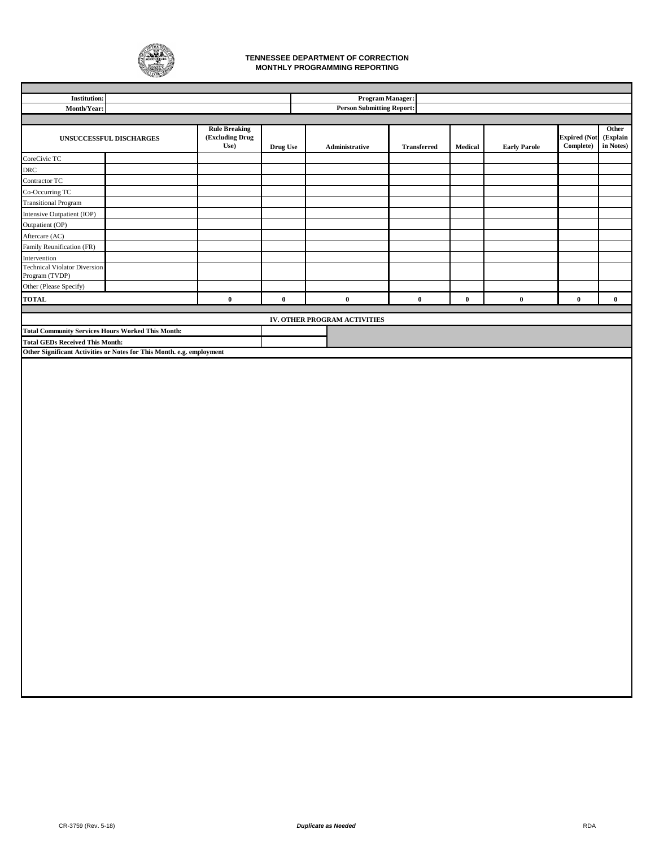

#### **MONTHLY PROGRAMMING REPORTING TENNESSEE DEPARTMENT OF CORRECTION**

| <b>Institution:</b>                                      |                                                                       |                                                 |          | <b>Program Manager:</b>          |                    |          |                     |                                  |                                |
|----------------------------------------------------------|-----------------------------------------------------------------------|-------------------------------------------------|----------|----------------------------------|--------------------|----------|---------------------|----------------------------------|--------------------------------|
| Month/Year:                                              |                                                                       |                                                 |          | <b>Person Submitting Report:</b> |                    |          |                     |                                  |                                |
|                                                          |                                                                       |                                                 |          |                                  |                    |          |                     |                                  |                                |
|                                                          | UNSUCCESSFUL DISCHARGES                                               | <b>Rule Breaking</b><br>(Excluding Drug<br>Use) | Drug Use | Administrative                   | <b>Transferred</b> | Medical  | <b>Early Parole</b> | <b>Expired (Not</b><br>Complete) | Other<br>(Explain<br>in Notes) |
| CoreCivic TC                                             |                                                                       |                                                 |          |                                  |                    |          |                     |                                  |                                |
| DRC                                                      |                                                                       |                                                 |          |                                  |                    |          |                     |                                  |                                |
| Contractor TC                                            |                                                                       |                                                 |          |                                  |                    |          |                     |                                  |                                |
| Co-Occurring TC                                          |                                                                       |                                                 |          |                                  |                    |          |                     |                                  |                                |
| <b>Transitional Program</b>                              |                                                                       |                                                 |          |                                  |                    |          |                     |                                  |                                |
| Intensive Outpatient (IOP)                               |                                                                       |                                                 |          |                                  |                    |          |                     |                                  |                                |
| Outpatient (OP)                                          |                                                                       |                                                 |          |                                  |                    |          |                     |                                  |                                |
| Aftercare (AC)                                           |                                                                       |                                                 |          |                                  |                    |          |                     |                                  |                                |
| Family Reunification (FR)                                |                                                                       |                                                 |          |                                  |                    |          |                     |                                  |                                |
| Intervention                                             |                                                                       |                                                 |          |                                  |                    |          |                     |                                  |                                |
| <b>Technical Violator Diversion</b><br>Program (TVDP)    |                                                                       |                                                 |          |                                  |                    |          |                     |                                  |                                |
| Other (Please Specify)                                   |                                                                       |                                                 |          |                                  |                    |          |                     |                                  |                                |
| <b>TOTAL</b>                                             |                                                                       | $\bf{0}$                                        | $\bf{0}$ | $\mathbf 0$                      | $\bf{0}$           | $\bf{0}$ | $\mathbf 0$         | $\bf{0}$                         | $\mathbf{0}$                   |
|                                                          |                                                                       |                                                 |          |                                  |                    |          |                     |                                  |                                |
|                                                          |                                                                       |                                                 |          | IV. OTHER PROGRAM ACTIVITIES     |                    |          |                     |                                  |                                |
| <b>Total Community Services Hours Worked This Month:</b> |                                                                       |                                                 |          |                                  |                    |          |                     |                                  |                                |
| <b>Total GEDs Received This Month:</b>                   |                                                                       |                                                 |          |                                  |                    |          |                     |                                  |                                |
|                                                          | Other Significant Activities or Notes for This Month. e.g. employment |                                                 |          |                                  |                    |          |                     |                                  |                                |
|                                                          |                                                                       |                                                 |          |                                  |                    |          |                     |                                  |                                |
|                                                          |                                                                       |                                                 |          |                                  |                    |          |                     |                                  |                                |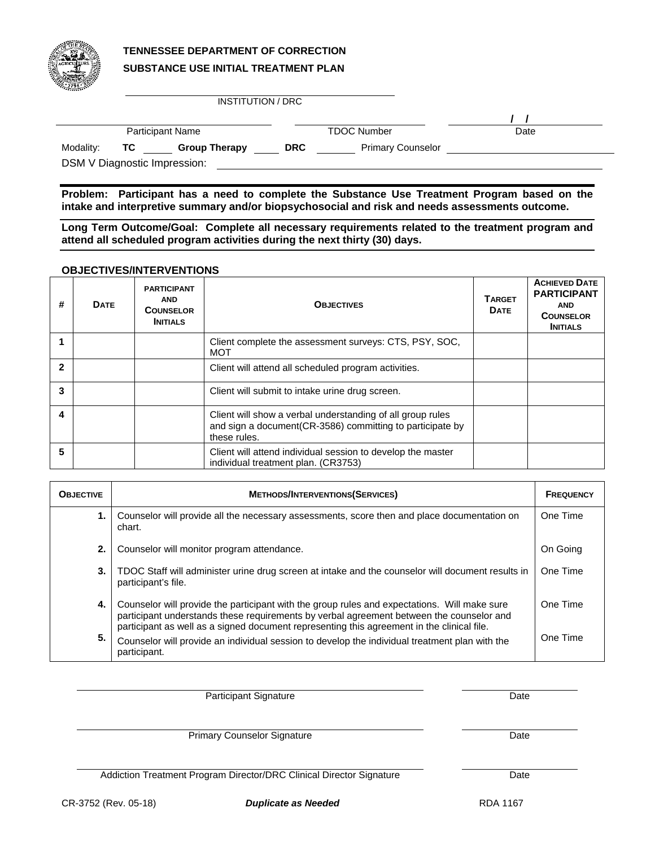

# **TENNESSEE DEPARTMENT OF CORRECTION SUBSTANCE USE INITIAL TREATMENT PLAN**

INSTITUTION / DRC

|           |    | <b>Participant Name</b>      |            | <b>TDOC Number</b>       | Date |  |
|-----------|----|------------------------------|------------|--------------------------|------|--|
| Modality: | ТC | <b>Group Therapy</b>         | <b>DRC</b> | <b>Primary Counselor</b> |      |  |
|           |    | DSM V Diagnostic Impression: |            |                          |      |  |

**Problem: Participant has a need to complete the Substance Use Treatment Program based on the intake and interpretive summary and/or biopsychosocial and risk and needs assessments outcome.** 

**Long Term Outcome/Goal: Complete all necessary requirements related to the treatment program and attend all scheduled program activities during the next thirty (30) days.** 

### **OBJECTIVES/INTERVENTIONS**

| # | <b>DATE</b> | <b>PARTICIPANT</b><br><b>AND</b><br><b>COUNSELOR</b><br><b>INITIALS</b> | <b>OBJECTIVES</b>                                                                                                                       | <b>TARGET</b><br><b>DATE</b> | <b>ACHIEVED DATE</b><br><b>PARTICIPANT</b><br><b>AND</b><br><b>COUNSELOR</b><br><b>INITIALS</b> |
|---|-------------|-------------------------------------------------------------------------|-----------------------------------------------------------------------------------------------------------------------------------------|------------------------------|-------------------------------------------------------------------------------------------------|
|   |             |                                                                         | Client complete the assessment surveys: CTS, PSY, SOC,<br><b>MOT</b>                                                                    |                              |                                                                                                 |
| 2 |             |                                                                         | Client will attend all scheduled program activities.                                                                                    |                              |                                                                                                 |
| 3 |             |                                                                         | Client will submit to intake urine drug screen.                                                                                         |                              |                                                                                                 |
| 4 |             |                                                                         | Client will show a verbal understanding of all group rules<br>and sign a document(CR-3586) committing to participate by<br>these rules. |                              |                                                                                                 |
| 5 |             |                                                                         | Client will attend individual session to develop the master<br>individual treatment plan. (CR3753)                                      |                              |                                                                                                 |

| <b>OBJECTIVE</b> | <b>METHODS/INTERVENTIONS(SERVICES)</b>                                                                                                                                                                                                                                                 | <b>FREQUENCY</b> |
|------------------|----------------------------------------------------------------------------------------------------------------------------------------------------------------------------------------------------------------------------------------------------------------------------------------|------------------|
|                  | Counselor will provide all the necessary assessments, score then and place documentation on<br>chart.                                                                                                                                                                                  | One Time         |
| 2.               | Counselor will monitor program attendance.                                                                                                                                                                                                                                             | On Going         |
| 3.               | TDOC Staff will administer urine drug screen at intake and the counselor will document results in<br>participant's file.                                                                                                                                                               | One Time         |
| 4.               | Counselor will provide the participant with the group rules and expectations. Will make sure<br>participant understands these requirements by verbal agreement between the counselor and<br>participant as well as a signed document representing this agreement in the clinical file. | One Time         |
| 5.               | Counselor will provide an individual session to develop the individual treatment plan with the<br>participant.                                                                                                                                                                         | One Time         |

Participant Signature Date

Primary Counselor Signature Date

Addiction Treatment Program Director/DRC Clinical Director Signature Date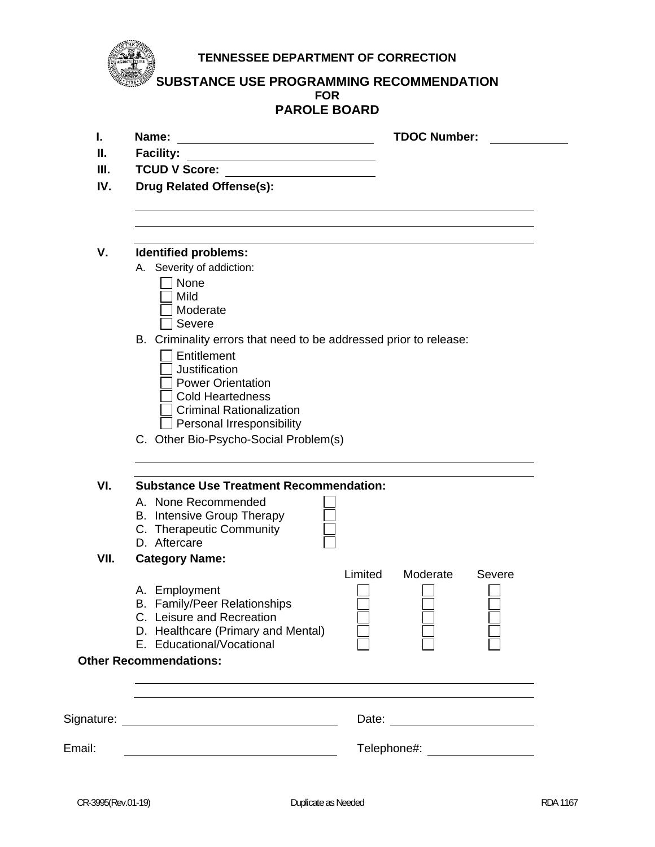**TENNESSEE DEPARTMENT OF CORRECTION** 

**SUBSTANCE USE PROGRAMMING RECOMMENDATION FOR PAROLE BOARD** 

|        | FARVLE DUARD                                                                                                                                                                                |                                                               |
|--------|---------------------------------------------------------------------------------------------------------------------------------------------------------------------------------------------|---------------------------------------------------------------|
| I.     | Name:<br><u> 1989 - Johann Stoff, fransk politik (d. 1989)</u>                                                                                                                              | <b>TDOC Number:</b>                                           |
| Ш.     | <b>Facility:</b>                                                                                                                                                                            |                                                               |
| Ш.     | <b>TCUD V Score:</b><br><u> 1989 - John Stein, Amerikaansk politiker (</u>                                                                                                                  |                                                               |
| IV.    | Drug Related Offense(s):                                                                                                                                                                    |                                                               |
| V.     | <b>Identified problems:</b>                                                                                                                                                                 |                                                               |
|        | A. Severity of addiction:                                                                                                                                                                   |                                                               |
|        | None<br>Mild<br>Moderate<br>Severe                                                                                                                                                          |                                                               |
|        | B. Criminality errors that need to be addressed prior to release:<br>Entitlement<br>Justification<br><b>Power Orientation</b><br><b>Cold Heartedness</b><br><b>Criminal Rationalization</b> |                                                               |
|        | Personal Irresponsibility<br>C. Other Bio-Psycho-Social Problem(s)                                                                                                                          |                                                               |
| VI.    | <b>Substance Use Treatment Recommendation:</b>                                                                                                                                              |                                                               |
|        | A. None Recommended<br><b>B.</b> Intensive Group Therapy<br>C. Therapeutic Community<br>D. Aftercare                                                                                        |                                                               |
| VII.   | <b>Category Name:</b>                                                                                                                                                                       |                                                               |
|        | A. Employment<br>B. Family/Peer Relationships<br>C. Leisure and Recreation<br>D. Healthcare (Primary and Mental)<br>E. Educational/Vocational                                               | Limited<br>Moderate<br>Severe<br>$\mathbf{I}$<br>$\mathbf{1}$ |
|        | <b>Other Recommendations:</b>                                                                                                                                                               |                                                               |
|        |                                                                                                                                                                                             | Date: <u>________________________</u>                         |
| Email: | <u> 1989 - Johann Barn, mars ann an t-Amhain Aonaich an t-Aonaich an t-Aonaich ann an t-Aonaich ann an t-Aonaich</u>                                                                        | Telephone#: __________________                                |

 $\overline{\phantom{a}}$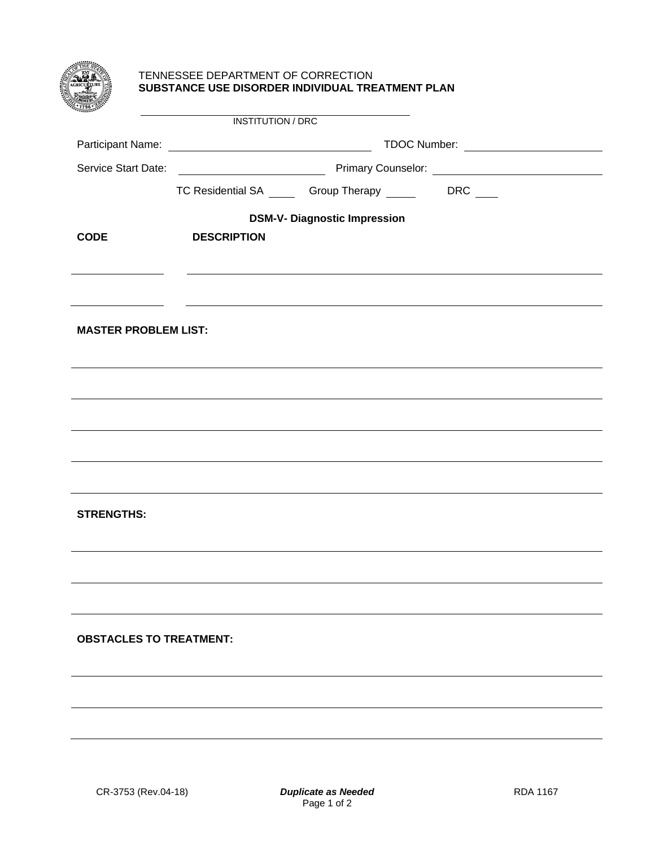|                             | TENNESSEE DEPARTMENT OF CORRECTION | SUBSTANCE USE DISORDER INDIVIDUAL TREATMENT PLAN       |  |  |  |  |  |  |
|-----------------------------|------------------------------------|--------------------------------------------------------|--|--|--|--|--|--|
|                             | INSTITUTION / DRC                  |                                                        |  |  |  |  |  |  |
|                             |                                    |                                                        |  |  |  |  |  |  |
|                             |                                    |                                                        |  |  |  |  |  |  |
|                             |                                    | TC Residential SA ______ Group Therapy ______ DRC ____ |  |  |  |  |  |  |
|                             |                                    | <b>DSM-V- Diagnostic Impression</b>                    |  |  |  |  |  |  |
| <b>CODE</b>                 | <b>DESCRIPTION</b>                 |                                                        |  |  |  |  |  |  |
|                             |                                    |                                                        |  |  |  |  |  |  |
|                             |                                    |                                                        |  |  |  |  |  |  |
| <b>MASTER PROBLEM LIST:</b> |                                    |                                                        |  |  |  |  |  |  |
|                             |                                    |                                                        |  |  |  |  |  |  |
|                             |                                    |                                                        |  |  |  |  |  |  |
|                             |                                    |                                                        |  |  |  |  |  |  |
|                             |                                    |                                                        |  |  |  |  |  |  |
|                             |                                    |                                                        |  |  |  |  |  |  |
|                             |                                    |                                                        |  |  |  |  |  |  |
| <b>STRENGTHS:</b>           |                                    |                                                        |  |  |  |  |  |  |
|                             |                                    |                                                        |  |  |  |  |  |  |
|                             |                                    |                                                        |  |  |  |  |  |  |
|                             |                                    |                                                        |  |  |  |  |  |  |
|                             |                                    |                                                        |  |  |  |  |  |  |
|                             | <b>OBSTACLES TO TREATMENT:</b>     |                                                        |  |  |  |  |  |  |
|                             |                                    |                                                        |  |  |  |  |  |  |
|                             |                                    |                                                        |  |  |  |  |  |  |
|                             |                                    |                                                        |  |  |  |  |  |  |
|                             |                                    |                                                        |  |  |  |  |  |  |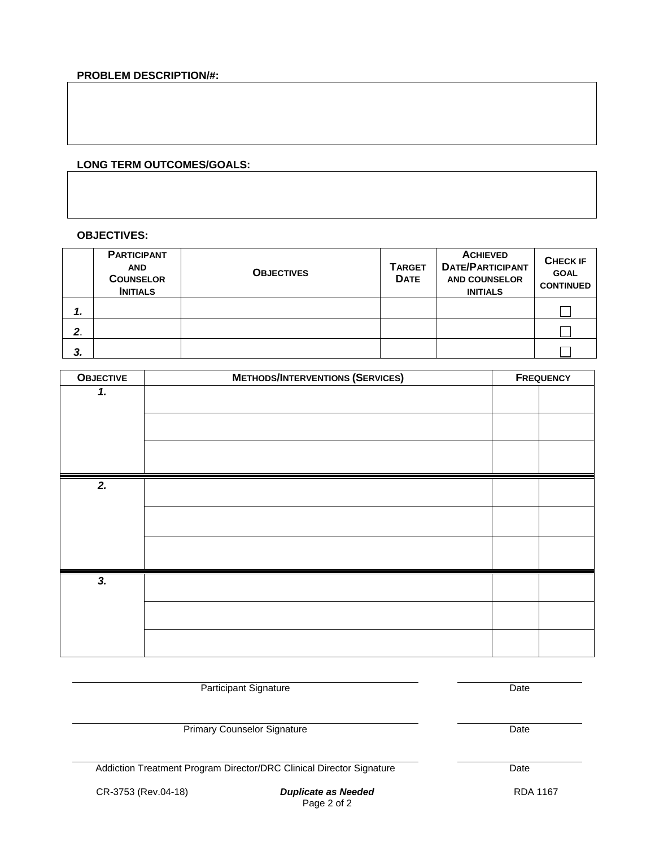## **PROBLEM DESCRIPTION/#:**

## **LONG TERM OUTCOMES/GOALS:**

### **OBJECTIVES:**

|    | <b>PARTICIPANT</b><br><b>AND</b><br><b>COUNSELOR</b><br><b>INITIALS</b> | <b>OBJECTIVES</b> | <b>TARGET</b><br><b>DATE</b> | <b>ACHIEVED</b><br><b>DATE/PARTICIPANT</b><br><b>AND COUNSELOR</b><br><b>INITIALS</b> | <b>CHECK IF</b><br><b>GOAL</b><br><b>CONTINUED</b> |
|----|-------------------------------------------------------------------------|-------------------|------------------------------|---------------------------------------------------------------------------------------|----------------------------------------------------|
| 1. |                                                                         |                   |                              |                                                                                       |                                                    |
| 2. |                                                                         |                   |                              |                                                                                       |                                                    |
| 3. |                                                                         |                   |                              |                                                                                       |                                                    |

| <b>OBJECTIVE</b> | <b>METHODS/INTERVENTIONS (SERVICES)</b> |  | <b>FREQUENCY</b> |  |
|------------------|-----------------------------------------|--|------------------|--|
| 1.               |                                         |  |                  |  |
|                  |                                         |  |                  |  |
|                  |                                         |  |                  |  |
|                  |                                         |  |                  |  |
| 2.               |                                         |  |                  |  |
|                  |                                         |  |                  |  |
|                  |                                         |  |                  |  |
|                  |                                         |  |                  |  |
|                  |                                         |  |                  |  |
|                  |                                         |  |                  |  |
| 3.               |                                         |  |                  |  |
|                  |                                         |  |                  |  |
|                  |                                         |  |                  |  |
|                  |                                         |  |                  |  |
|                  |                                         |  |                  |  |

Participant Signature Date

Primary Counselor Signature Date

Addiction Treatment Program Director/DRC Clinical Director Signature Date